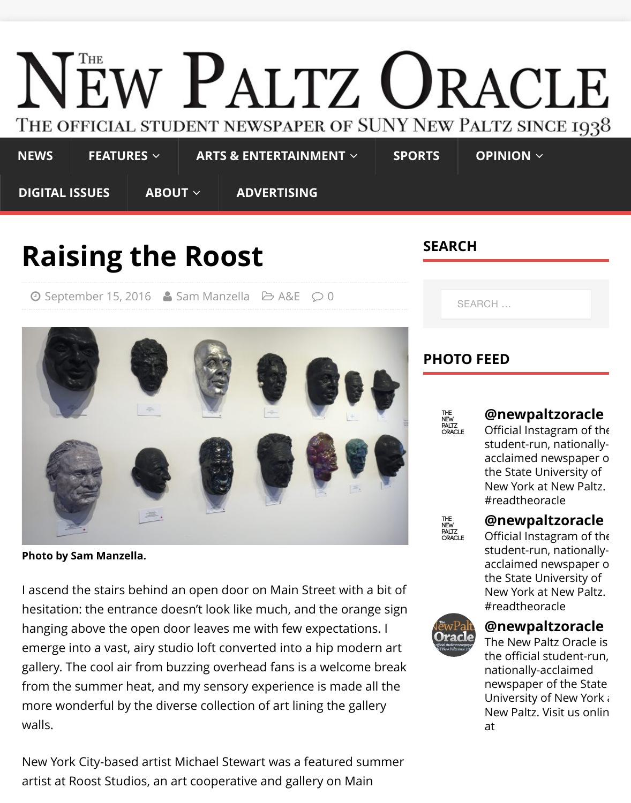### THE OFFICIAL STUDENT NEWSPAPER OF SUNY NEW PALTZ SI **NEWS FEATURES** ∠ **[ARTS & ENTERTAINMENT](http://oracle.newpaltz.edu/)** ∠ **SPORTS OPINION** ∠ **DIGITAL ISSUES ABOUT** ∠ **ADVERTISING [SEAR](http://oracle.newpaltz.edu/category/sports/)[CH](http://oracle.newpaltz.edu/category/opinion/) [Rai](http://oracle.newpaltz.edu/category/news/)[sing the](http://oracle.newpaltz.edu/category/features/) [Roost](http://oracle.newpaltz.edu/category/ae/)**  $\odot$  [September 15, 2](http://oracle.newpaltz.edu/category/digital-issues/)016  $\triangle$  [Sam Ma](http://oracle.newpaltz.edu/about/)[nzella](http://oracle.newpaltz.edu/advertising/)  $\ominus$  A&E  $\odot$  0 SEARCH …**PHOTO FEED** THE<br>NEW<br>PALTZ<br>ORACLE **@newp** Official Inst student-ru acclaimed the State New York  $#read$ theorg THE<br>NEW<br>PALTZ<br>ORACLE **@newp** Official Inst student-ru **Photo by Sam Manzella.** acclaimed the State I ascend the stairs behind an open door on Main Street with a bit of New York  $#read$ theorg hesitation: the entrance doesn't look like much, and the orange sign **@newp** hanging above the open door leaves me with few expectations. I The New I emerge into a vast, airy studio loft converted into a hip modern art the officia gallery. The cool air from buzzing overhead fans is a welcome break nationally newspape

University New Paltz

[at](http://instagram.com/newpaltzoracle)

from the summer heat, and my sensory experience is made all the more wonderful by the diverse collection of art lining the gallery walls.

New York City-based artist Michael Stewart was a featured summer artist at Roost Studios, an art cooperative and gallery on Main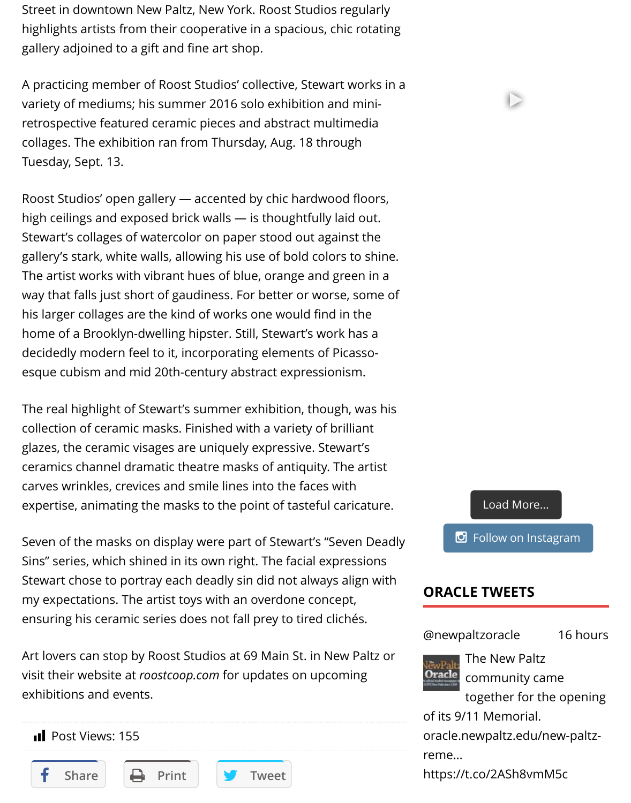variety of mediums; his summer 2016 solo exhibition and miniretrospective featured ceramic pieces and abstract multimedia collages. The exhibition ran from Thursday, Aug. 18 through Tuesday, Sept. 13.

Roost Studios' open gallery — accented by chic hardwood floors, high ceilings and exposed brick walls — is thoughtfully laid out. Stewart's collages of watercolor on paper stood out against the gallery's stark, white walls, allowing his use of bold colors to shine. The artist works with vibrant hues of blue, orange and green in a way that falls just short of gaudiness. For better or worse, some of his larger collages are the kind of works one would find in the home of a Brooklyn-dwelling hipster. Still, Stewart's work has a decidedly modern feel to it, incorporating elements of Picassoesque cubism and mid 20th-century abstract expressionism.

The real highlight of Stewart's summer exhibition, though, was his collection of ceramic masks. Finished with a variety of brilliant glazes, the ceramic visages are uniquely expressive. Stewart's ceramics channel dramatic theatre masks of antiquity. The artist carves wrinkles, crevices and smile lines into the faces with expertise, animating the masks to the point of tasteful caricature.

Seven of the masks on display were part of Stewart's "Seven Deadly Sins" series, which shined in its own right. The facial expressions Stewart chose to portray each deadly sin did not always align with my expectations. The artist toys with an overdone concept, ensuring his ceramic series does not fall prey to tired clichés.

Art lovers can stop by Roost Studios at 69 Main St. in New Paltz or visit their website at *roostcoop.com* for updates on upcoming exhibitions and events.

**Il** Post Views: 155









## **ORACL[E TWEETS](javascript:void(0);)**

#### @newpaltzoracle



The New Pal community o together for

of its 9/11 Memoria [oracle.newpaltz.e](https://twitter.com/newpaltzoracle)du reme…

Share **Example 1** Print **State of the Tweet https://t.co/2ASh8vm**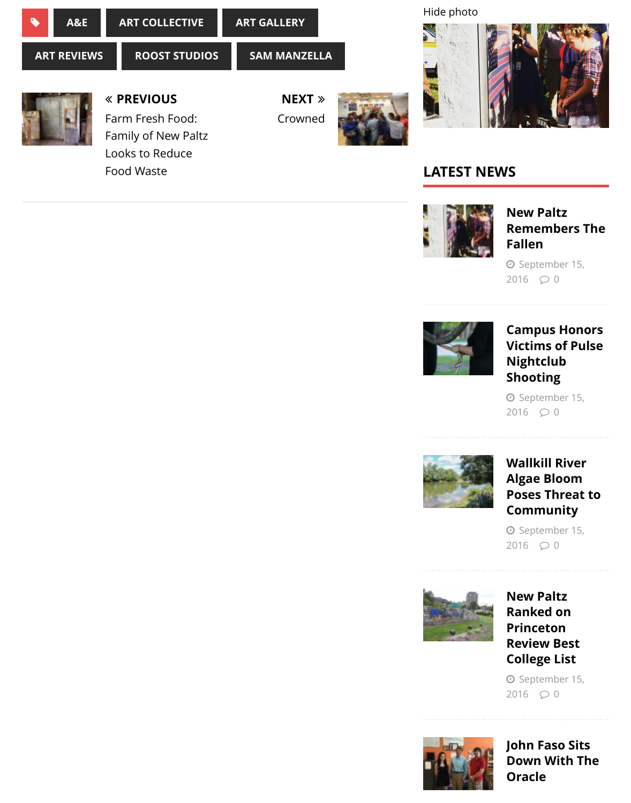

Farm Fresh Food: Family of New Paltz Looks to Reduce Food Waste

Crowned





## **LATEST NEWS**



**New Rem Falle** 

O Sep 2016



 $Cam<sub>l</sub>$ **Victil Nigh** Shoo

O Sep 2016



Walll Algae **Pose** Com

O Sep 2016



**New** Rank Princ **Revie Colle** 

O Sep 2016



John **Dowl** Orac